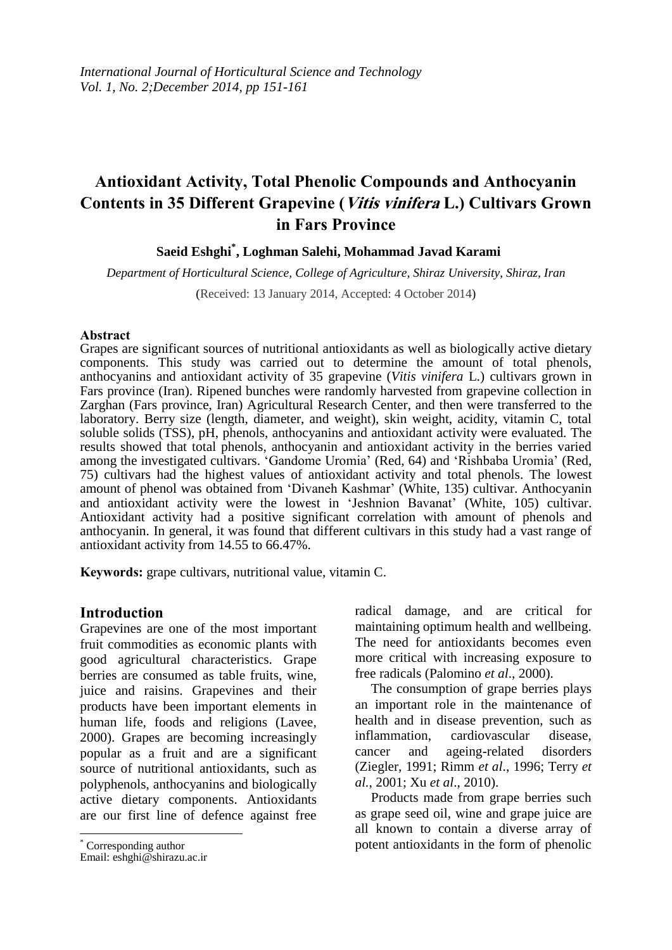# **Antioxidant Activity, Total Phenolic Compounds and Anthocyanin Contents in 35 Different Grapevine (Vitis vinifera L.) Cultivars Grown in Fars Province**

## **Saeid Eshghi\* , Loghman Salehi, Mohammad Javad Karami**

*Department of Horticultural Science, College of Agriculture, Shiraz University, Shiraz, Iran* (Received: 13 January 2014, Accepted: 4 October 2014)

#### **Abstract**

Grapes are significant sources of nutritional antioxidants as well as biologically active dietary components. This study was carried out to determine the amount of total phenols, anthocyanins and antioxidant activity of 35 grapevine (*Vitis vinifera* L.) cultivars grown in Fars province (Iran). Ripened bunches were randomly harvested from grapevine collection in Zarghan (Fars province, Iran) Agricultural Research Center, and then were transferred to the laboratory. Berry size (length, diameter, and weight), skin weight, acidity, vitamin C, total soluble solids (TSS), pH, phenols, anthocyanins and antioxidant activity were evaluated. The results showed that total phenols, anthocyanin and antioxidant activity in the berries varied among the investigated cultivars. 'Gandome Uromia' (Red, 64) and 'Rishbaba Uromia' (Red, 75) cultivars had the highest values of antioxidant activity and total phenols. The lowest amount of phenol was obtained from 'Divaneh Kashmar' (White, 135) cultivar. Anthocyanin and antioxidant activity were the lowest in 'Jeshnion Bavanat' (White, 105) cultivar. Antioxidant activity had a positive significant correlation with amount of phenols and anthocyanin. In general, it was found that different cultivars in this study had a vast range of antioxidant activity from 14.55 to 66.47%.

**Keywords:** grape cultivars, nutritional value, vitamin C.

#### **Introduction**

Grapevines are one of the most important fruit commodities as economic plants with good agricultural characteristics. Grape berries are consumed as table fruits, wine, juice and raisins. Grapevines and their products have been important elements in human life, foods and religions (Lavee, 2000). Grapes are becoming increasingly popular as a fruit and are a significant source of nutritional antioxidants, such as polyphenols, anthocyanins and biologically active dietary components. Antioxidants are our first line of defence against free

radical damage, and are critical for maintaining optimum health and wellbeing. The need for antioxidants becomes even more critical with increasing exposure to free radicals (Palomino *et al*., 2000).

The consumption of grape berries plays an important role in the maintenance of health and in disease prevention, such as inflammation, cardiovascular disease, cancer and ageing-related disorders (Ziegler, 1991; Rimm *et al*., 1996; Terry *et al.*, 2001; Xu *et al*., 2010).

Products made from grape berries such as grape seed oil, wine and grape juice are all known to contain a diverse array of potent antioxidants in the form of phenolic

 \* Corresponding author

Email: eshghi@shirazu.ac.ir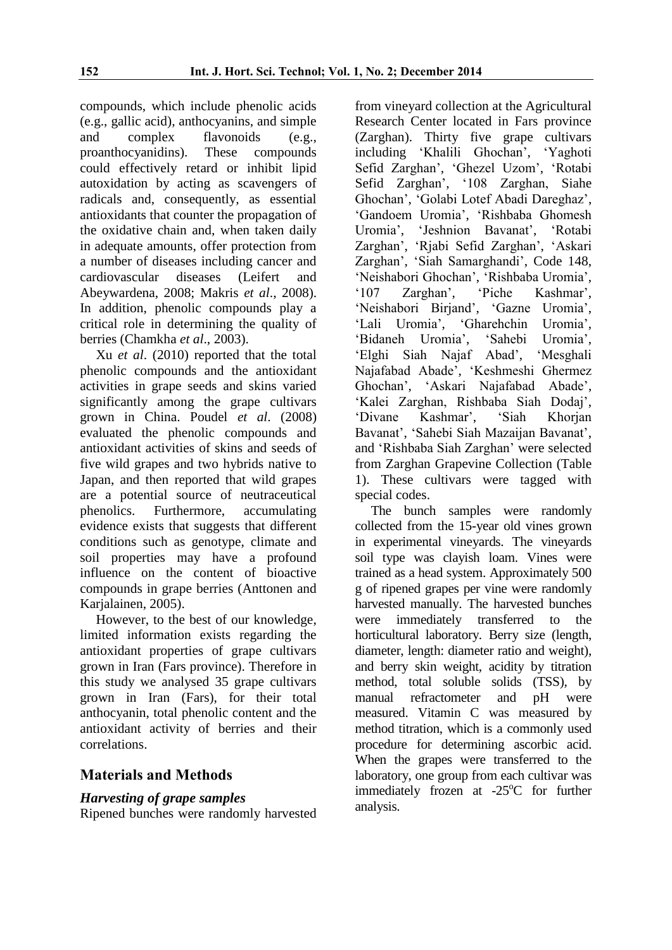compounds, which include phenolic acids (e.g., gallic acid), anthocyanins, and simple and complex flavonoids (e.g., proanthocyanidins). These compounds could effectively retard or inhibit lipid autoxidation by acting as scavengers of radicals and, consequently, as essential antioxidants that counter the propagation of the oxidative chain and, when taken daily in adequate amounts, offer protection from a number of diseases including cancer and cardiovascular diseases (Leifert and Abeywardena, 2008; Makris *et al*., 2008). In addition, phenolic compounds play a critical role in determining the quality of berries (Chamkha *et al*., 2003).

Xu *et al*. (2010) reported that the total phenolic compounds and the antioxidant activities in grape seeds and skins varied significantly among the grape cultivars grown in China. Poudel *et al*. (2008) evaluated the phenolic compounds and antioxidant activities of skins and seeds of five wild grapes and two hybrids native to Japan, and then reported that wild grapes are a potential source of neutraceutical phenolics. Furthermore, accumulating evidence exists that suggests that different conditions such as genotype, climate and soil properties may have a profound influence on the content of bioactive compounds in grape berries (Anttonen and Karialainen, 2005).

However, to the best of our knowledge, limited information exists regarding the antioxidant properties of grape cultivars grown in Iran (Fars province). Therefore in this study we analysed 35 grape cultivars grown in Iran (Fars), for their total anthocyanin, total phenolic content and the antioxidant activity of berries and their correlations.

# **Materials and Methods**

## *Harvesting of grape samples*

Ripened bunches were randomly harvested

from vineyard collection at the Agricultural Research Center located in Fars province (Zarghan). Thirty five grape cultivars including 'Khalili Ghochan', 'Yaghoti Sefid Zarghan', 'Ghezel Uzom', 'Rotabi Sefid Zarghan', '108 Zarghan, Siahe Ghochan', 'Golabi Lotef Abadi Dareghaz', 'Gandoem Uromia', 'Rishbaba Ghomesh Uromia', 'Jeshnion Bavanat', 'Rotabi Zarghan', 'Rjabi Sefid Zarghan', 'Askari Zarghan', 'Siah Samarghandi', Code 148, 'Neishabori Ghochan', 'Rishbaba Uromia', '107 Zarghan', 'Piche Kashmar', 'Neishabori Birjand', 'Gazne Uromia', 'Lali Uromia', 'Gharehchin Uromia', 'Bidaneh Uromia', 'Sahebi Uromia', 'Elghi Siah Najaf Abad', 'Mesghali Najafabad Abade', 'Keshmeshi Ghermez Ghochan', 'Askari Najafabad Abade', 'Kalei Zarghan, Rishbaba Siah Dodaj', 'Divane Kashmar', 'Siah Khorjan Bavanat', 'Sahebi Siah Mazaijan Bavanat', and 'Rishbaba Siah Zarghan' were selected from Zarghan Grapevine Collection (Table 1). These cultivars were tagged with special codes.

The bunch samples were randomly collected from the 15-year old vines grown in experimental vineyards. The vineyards soil type was clayish loam. Vines were trained as a head system. Approximately 500 g of ripened grapes per vine were randomly harvested manually. The harvested bunches were immediately transferred to the horticultural laboratory. Berry size (length, diameter, length: diameter ratio and weight), and berry skin weight, acidity by titration method, total soluble solids (TSS), by manual refractometer and pH were measured. Vitamin C was measured by method titration, which is a commonly used procedure for determining ascorbic acid. When the grapes were transferred to the laboratory, one group from each cultivar was immediately frozen at  $-25^{\circ}$ C for further analysis.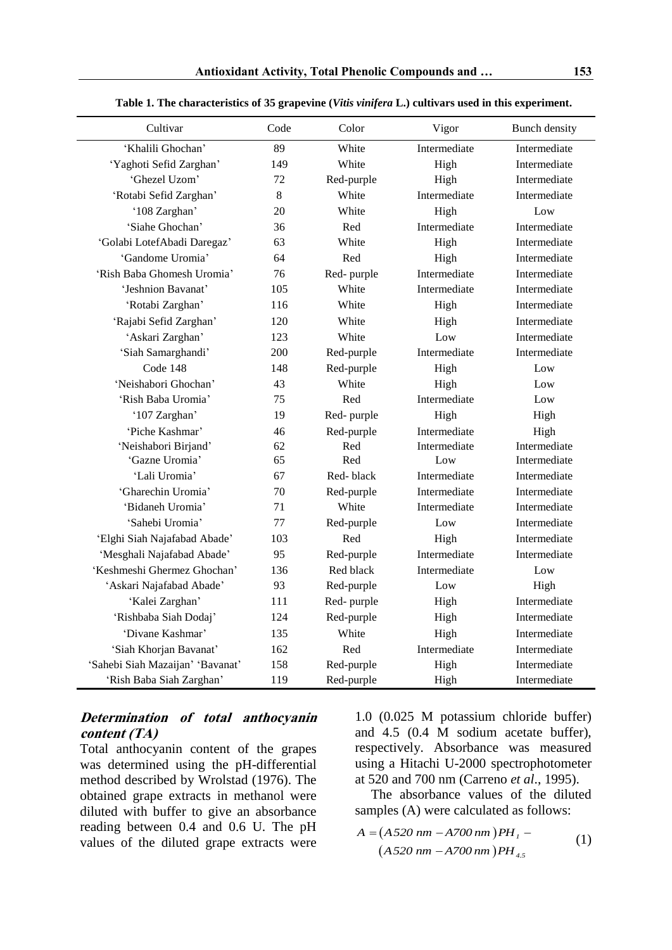| Cultivar                         | Code | Color      | Vigor        | <b>Bunch density</b> |
|----------------------------------|------|------------|--------------|----------------------|
| 'Khalili Ghochan'                | 89   | White      | Intermediate | Intermediate         |
| 'Yaghoti Sefid Zarghan'          | 149  | White      | High         | Intermediate         |
| 'Ghezel Uzom'                    | 72   | Red-purple | High         | Intermediate         |
| 'Rotabi Sefid Zarghan'           | 8    | White      | Intermediate | Intermediate         |
| '108 Zarghan'                    | 20   | White      | High         | Low                  |
| 'Siahe Ghochan'                  | 36   | Red        | Intermediate | Intermediate         |
| 'Golabi LotefAbadi Daregaz'      | 63   | White      | High         | Intermediate         |
| 'Gandome Uromia'                 | 64   | Red        | High         | Intermediate         |
| 'Rish Baba Ghomesh Uromia'       | 76   | Red-purple | Intermediate | Intermediate         |
| 'Jeshnion Bavanat'               | 105  | White      | Intermediate | Intermediate         |
| 'Rotabi Zarghan'                 | 116  | White      | High         | Intermediate         |
| 'Rajabi Sefid Zarghan'           | 120  | White      | High         | Intermediate         |
| 'Askari Zarghan'                 | 123  | White      | Low          | Intermediate         |
| 'Siah Samarghandi'               | 200  | Red-purple | Intermediate | Intermediate         |
| Code 148                         | 148  | Red-purple | High         | Low                  |
| 'Neishabori Ghochan'             | 43   | White      | High         | Low                  |
| 'Rish Baba Uromia'               | 75   | Red        | Intermediate | Low                  |
| '107 Zarghan'                    | 19   | Red-purple | High         | High                 |
| 'Piche Kashmar'                  | 46   | Red-purple | Intermediate | High                 |
| 'Neishabori Birjand'             | 62   | Red        | Intermediate | Intermediate         |
| 'Gazne Uromia'                   | 65   | Red        | Low          | Intermediate         |
| 'Lali Uromia'                    | 67   | Red-black  | Intermediate | Intermediate         |
| 'Gharechin Uromia'               | 70   | Red-purple | Intermediate | Intermediate         |
| 'Bidaneh Uromia'                 | 71   | White      | Intermediate | Intermediate         |
| 'Sahebi Uromia'                  | 77   | Red-purple | Low          | Intermediate         |
| 'Elghi Siah Najafabad Abade'     | 103  | Red        | High         | Intermediate         |
| 'Mesghali Najafabad Abade'       | 95   | Red-purple | Intermediate | Intermediate         |
| 'Keshmeshi Ghermez Ghochan'      | 136  | Red black  | Intermediate | Low                  |
| 'Askari Najafabad Abade'         | 93   | Red-purple | Low          | High                 |
| 'Kalei Zarghan'                  | 111  | Red-purple | High         | Intermediate         |
| 'Rishbaba Siah Dodaj'            | 124  | Red-purple | High         | Intermediate         |
| 'Divane Kashmar'                 | 135  | White      | High         | Intermediate         |
| 'Siah Khorjan Bavanat'           | 162  | Red        | Intermediate | Intermediate         |
| 'Sahebi Siah Mazaijan' 'Bavanat' | 158  | Red-purple | High         | Intermediate         |
| 'Rish Baba Siah Zarghan'         | 119  | Red-purple | High         | Intermediate         |

**Table 1. The characteristics of 35 grapevine (***Vitis vinifera* **L.) cultivars used in this experiment.**

## **Determination of total anthocyanin content (TA)**

Total anthocyanin content of the grapes was determined using the pH-differential method described by Wrolstad (1976). The obtained grape extracts in methanol were diluted with buffer to give an absorbance reading between 0.4 and 0.6 U. The pH values of the diluted grape extracts were

1.0 (0.025 M potassium chloride buffer) and 4.5 (0.4 M sodium acetate buffer), respectively. Absorbance was measured using a Hitachi U-2000 spectrophotometer at 520 and 700 nm (Carreno *et al*., 1995).

The absorbance values of the diluted samples (A) were calculated as follows:

$$
A = (A520 \text{ nm} - A700 \text{ nm})PH_1 -
$$
  

$$
(A520 \text{ nm} - A700 \text{ nm})PH_{4.5}
$$
 (1)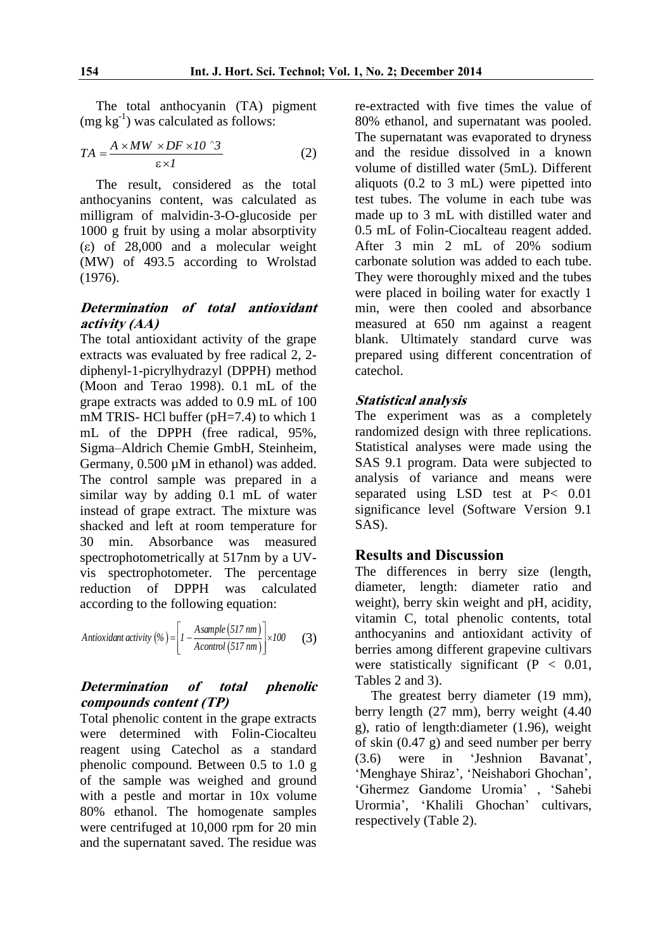The total anthocyanin (TA) pigment  $(mg kg<sup>-1</sup>)$  was calculated as follows:

$$
TA = \frac{A \times MW \times DF \times 10^{-3}3}{\epsilon \times 1}
$$
 (2)

The result, considered as the total anthocyanins content, was calculated as milligram of malvidin-3-O-glucoside per 1000 g fruit by using a molar absorptivity (ε) of 28,000 and a molecular weight (MW) of 493.5 according to Wrolstad (1976).

## **Determination of total antioxidant activity (AA)**

The total antioxidant activity of the grape extracts was evaluated by free radical 2, 2 diphenyl-1-picrylhydrazyl (DPPH) method (Moon and Terao 1998). 0.1 mL of the grape extracts was added to 0.9 mL of 100 mM TRIS- HCl buffer (pH=7.4) to which 1 mL of the DPPH (free radical, 95%, Sigma–Aldrich Chemie GmbH, Steinheim, Germany,  $0.500 \mu M$  in ethanol) was added. The control sample was prepared in a similar way by adding 0.1 mL of water instead of grape extract. The mixture was shacked and left at room temperature for 30 min. Absorbance was measured spectrophotometrically at 517nm by a UVvis spectrophotometer. The percentage reduction of DPPH was calculated according to the following equation:

Antioxidant activity 
$$
(\%) = \left[ I - \frac{Asample(517 nm)}{Acontrol(517 nm)} \right] \times 100
$$
 (3)

## **Determination of total phenolic compounds content (TP)**

Total phenolic content in the grape extracts were determined with Folin-Ciocalteu reagent using Catechol as a standard phenolic compound. Between 0.5 to 1.0 g of the sample was weighed and ground with a pestle and mortar in 10x volume 80% ethanol. The homogenate samples were centrifuged at 10,000 rpm for 20 min and the supernatant saved. The residue was

re-extracted with five times the value of 80% ethanol, and supernatant was pooled. The supernatant was evaporated to dryness and the residue dissolved in a known volume of distilled water (5mL). Different aliquots (0.2 to 3 mL) were pipetted into test tubes. The volume in each tube was made up to 3 mL with distilled water and 0.5 mL of Folin-Ciocalteau reagent added. After 3 min 2 mL of 20% sodium carbonate solution was added to each tube. They were thoroughly mixed and the tubes were placed in boiling water for exactly 1 min, were then cooled and absorbance measured at 650 nm against a reagent blank. Ultimately standard curve was prepared using different concentration of catechol.

#### **Statistical analysis**

The experiment was as a completely randomized design with three replications. Statistical analyses were made using the SAS 9.1 program. Data were subjected to analysis of variance and means were separated using LSD test at P< 0.01 significance level (Software Version 9.1 SAS).

#### **Results and Discussion**

The differences in berry size (length, diameter, length: diameter ratio and weight), berry skin weight and pH, acidity, vitamin C, total phenolic contents, total anthocyanins and antioxidant activity of berries among different grapevine cultivars were statistically significant  $(P < 0.01$ , Tables 2 and 3).

The greatest berry diameter (19 mm), berry length (27 mm), berry weight (4.40 g), ratio of length:diameter (1.96), weight of skin (0.47 g) and seed number per berry (3.6) were in 'Jeshnion Bavanat', 'Menghaye Shiraz', 'Neishabori Ghochan', 'Ghermez Gandome Uromia' , 'Sahebi Urormia', 'Khalili Ghochan' cultivars, respectively (Table 2).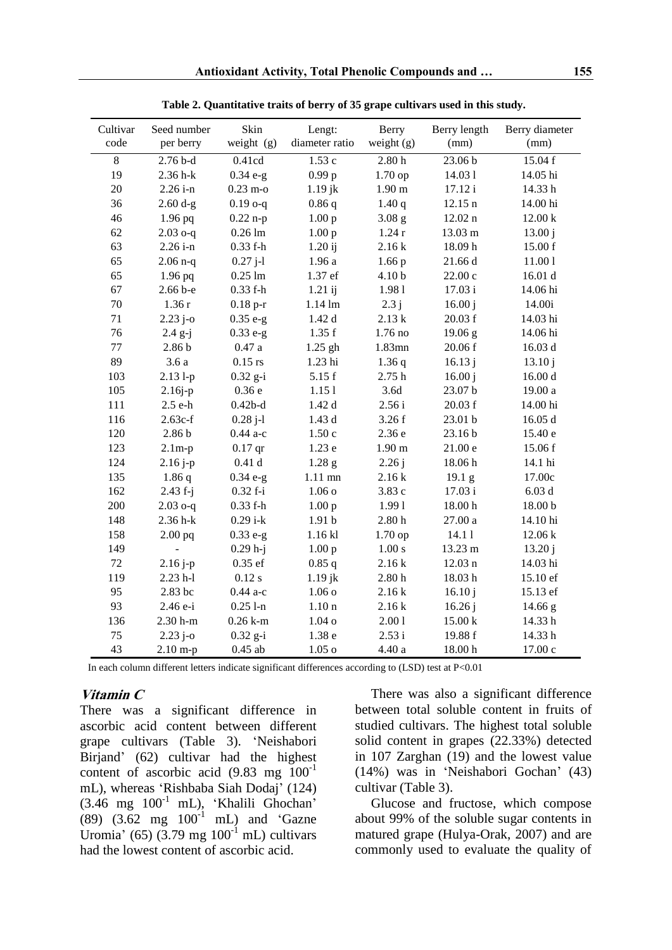| Cultivar<br>code | Seed number<br>per berry | Skin<br>weight (g) | Lengt:<br>diameter ratio | Berry<br>weight $(g)$ | Berry length<br>(mm) | Berry diameter<br>(mm) |
|------------------|--------------------------|--------------------|--------------------------|-----------------------|----------------------|------------------------|
| $8\,$            | $2.76b-d$                | 0.41cd             | 1.53c                    | 2.80h                 | 23.06 b              | 15.04 f                |
| 19               | 2.36 h-k                 | $0.34 e-g$         | 0.99 <sub>p</sub>        | 1.70 op               | 14.031               | 14.05 hi               |
| 20               | $2.26 i - n$             | $0.23$ m-o         | $1.19$ j $k$             | $1.90 \text{ m}$      | 17.12i               | 14.33h                 |
| 36               | $2.60 d-g$               | $0.19$ o-q         | 0.86q                    | 1.40q                 | $12.15 \text{ n}$    | 14.00 hi               |
| 46               | $1.96$ pq                | $0.22$ n-p         | 1.00 p                   | 3.08 <sub>g</sub>     | $12.02 \text{ n}$    | 12.00 k                |
| 62               | $2.03$ o-q               | $0.26 \text{ lm}$  | 1.00 p                   | 1.24r                 | 13.03 m              | 13.00 j                |
| 63               | $2.26 i - n$             | $0.33$ f-h         | $1.20$ ij                | 2.16k                 | 18.09h               | 15.00 f                |
| 65               | $2.06$ n-q               | $0.27 j-1$         | 1.96a                    | 1.66p                 | 21.66 d              | 11.001                 |
| 65               | $1.96$ pq                | $0.25 \text{ lm}$  | 1.37 ef                  | 4.10 b                | 22.00c               | 16.01 d                |
| 67               | 2.66 b-e                 | $0.33$ f-h         | $1.21$ ij                | 1.981                 | 17.03i               | 14.06 hi               |
| 70               | 1.36r                    | $0.18 p-r$         | $1.14 \text{ lm}$        | 2.3j                  | 16.00 j              | 14.00i                 |
| 71               | $2.23 j-0$               | $0.35e-g$          | 1.42d                    | $2.13~\mathrm{k}$     | 20.03 f              | 14.03 hi               |
| 76               | $2.4$ g-j                | $0.33 e-g$         | 1.35f                    | 1.76 no               | 19.06 g              | 14.06 hi               |
| $77 \,$          | 2.86 <sub>b</sub>        | $0.47\ \mathrm{a}$ | 1.25 gh                  | 1.83mn                | 20.06 f              | 16.03 d                |
| 89               | 3.6a                     | $0.15$ rs          | 1.23 hi                  | 1.36q                 | 16.13j               | 13.10j                 |
| 103              | $2.131-p$                | $0.32$ g-i         | 5.15f                    | 2.75h                 | 16.00 j              | 16.00 d                |
| 105              | $2.16j-p$                | 0.36e              | 1.151                    | 3.6d                  | 23.07 b              | 19.00 a                |
| 111              | 2.5 e-h                  | $0.42b-d$          | 1.42d                    | 2.56i                 | 20.03 f              | 14.00 hi               |
| 116              | $2.63c-f$                | $0.28 j-1$         | 1.43d                    | 3.26f                 | 23.01 b              | 16.05 d                |
| 120              | 2.86 <sub>b</sub>        | $0.44a-c$          | 1.50c                    | 2.36e                 | 23.16 b              | 15.40 e                |
| 123              | $2.1m-p$                 | $0.17$ qr          | 1.23 e                   | $1.90 \text{ m}$      | 21.00 e              | 15.06 f                |
| 124              | $2.16 j-p$               | 0.41d              | 1.28 <sub>g</sub>        | 2.26j                 | 18.06h               | 14.1 hi                |
| 135              | 1.86q                    | $0.34 e-g$         | $1.11$ mn                | 2.16k                 | 19.1 <sub>g</sub>    | 17.00c                 |
| 162              | $2.43 f - j$             | $0.32 f - i$       | 1.06 <sub>o</sub>        | 3.83 c                | 17.03 i              | 6.03d                  |
| 200              | $2.03$ o-q               | $0.33$ f-h         | 1.00 p                   | 1.991                 | 18.00h               | 18.00 b                |
| 148              | $2.36$ h- $k$            | $0.29i-k$          | 1.91 <sub>b</sub>        | $2.80\ \mathrm{h}$    | $27.00\ a$           | 14.10 hi               |
| 158              | $2.00$ pq                | $0.33 e-g$         | $1.16$ kl                | 1.70 op               | 14.11                | 12.06 k                |
| 149              | $\overline{a}$           | $0.29 h-j$         | 1.00 p                   | $1.00\;{\rm s}$       | 13.23 m              | 13.20 j                |
| $72\,$           | $2.16 j-p$               | $0.35$ ef          | 0.85q                    | 2.16k                 | $12.03 \text{ n}$    | 14.03 hi               |
| 119              | $2.23$ h-l               | $0.12$ s           | $1.19$ j $k$             | $2.80\ \mathrm{h}$    | 18.03h               | 15.10 ef               |
| 95               | 2.83 bc                  | $0.44a-c$          | 1.06 <sub>o</sub>        | 2.16k                 | 16.10j               | 15.13 ef               |
| 93               | 2.46 e-i                 | $0.251 - n$        | 1.10 <sub>n</sub>        | 2.16k                 | 16.26j               | 14.66 g                |
| 136              | 2.30 h-m                 | $0.26$ k-m         | $1.04\;{\rm o}$          | 2.001                 | 15.00 k              | 14.33h                 |
| 75               | $2.23j - 0$              | $0.32$ g-i         | 1.38e                    | 2.53 i                | 19.88 f              | 14.33h                 |
| 43               | $2.10 m-p$               | $0.45$ ab          | $1.05\,\mathrm{o}$       | 4.40 a                | 18.00h               | 17.00 c                |

**Table 2. Quantitative traits of berry of 35 grape cultivars used in this study.**

In each column different letters indicate significant differences according to  $(LSD)$  test at  $P<0.01$ 

## **Vitamin C**

There was a significant difference in ascorbic acid content between different grape cultivars (Table 3). 'Neishabori Birjand' (62) cultivar had the highest content of ascorbic acid  $(9.83 \text{ mg } 100^{-1}$ mL), whereas 'Rishbaba Siah Dodaj' (124)  $(3.46 \text{ mg } 100^{-1} \text{ mL})$ , 'Khalili Ghochan'  $(89)$   $(3.62 \text{ mg } 100^{-1} \text{ mL})$  and 'Gazne Uromia' (65) (3.79 mg  $100<sup>-1</sup>$  mL) cultivars had the lowest content of ascorbic acid.

There was also a significant difference between total soluble content in fruits of studied cultivars. The highest total soluble solid content in grapes (22.33%) detected in 107 Zarghan (19) and the lowest value (14%) was in 'Neishabori Gochan' (43) cultivar (Table 3).

Glucose and fructose, which compose about 99% of the soluble sugar contents in matured grape (Hulya-Orak, 2007) and are commonly used to evaluate the quality of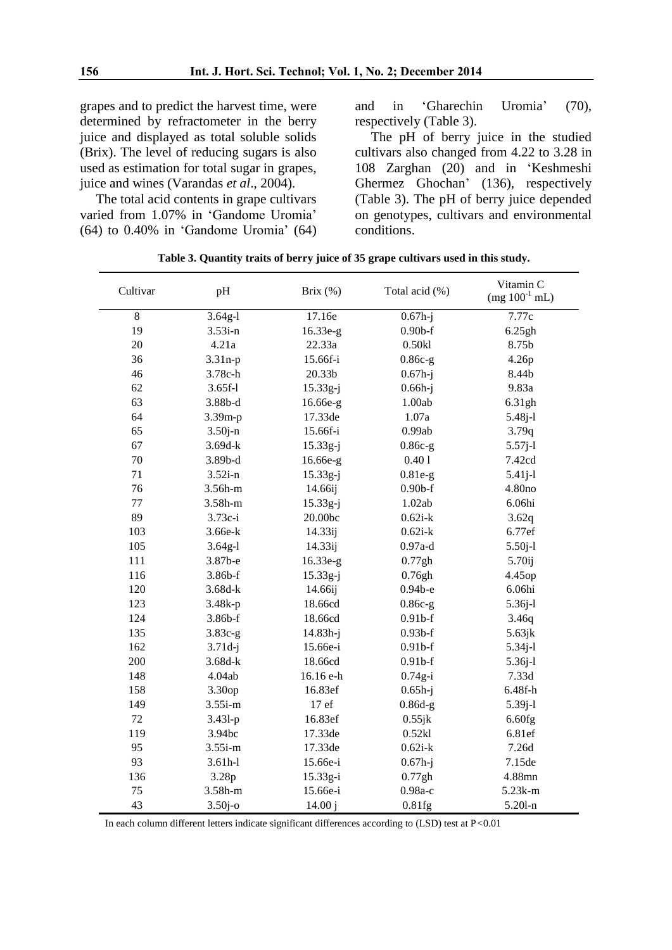grapes and to predict the harvest time, were determined by refractometer in the berry juice and displayed as total soluble solids (Brix). The level of reducing sugars is also used as estimation for total sugar in grapes, juice and wines (Varandas *et al*., 2004).

The total acid contents in grape cultivars varied from 1.07% in 'Gandome Uromia' (64) to 0.40% in 'Gandome Uromia' (64) and in 'Gharechin Uromia' (70), respectively (Table 3).

The pH of berry juice in the studied cultivars also changed from 4.22 to 3.28 in 108 Zarghan (20) and in 'Keshmeshi Ghermez Ghochan' (136), respectively (Table 3). The pH of berry juice depended on genotypes, cultivars and environmental conditions.

| Cultivar | pH          | Brix (%)   | Total acid (%) | Vitamin C<br>$(mg 100^{-1} mL)$ |
|----------|-------------|------------|----------------|---------------------------------|
| 8        | $3.64g-1$   | 17.16e     | $0.67h - j$    | 7.77c                           |
| 19       | $3.53i - n$ | 16.33e-g   | $0.90b$ -f     | 6.25gh                          |
| 20       | 4.21a       | 22.33a     | 0.50kl         | 8.75b                           |
| 36       | $3.31n-p$   | 15.66f-i   | $0.86c-g$      | 4.26p                           |
| 46       | 3.78c-h     | 20.33b     | $0.67h - j$    | 8.44b                           |
| 62       | $3.65f-1$   | $15.33g-j$ | $0.66h-j$      | 9.83a                           |
| 63       | $3.88b-d$   | 16.66e-g   | 1.00ab         | 6.31gh                          |
| 64       | 3.39m-p     | 17.33de    | 1.07a          | 5.48j-l                         |
| 65       | $3.50j - n$ | 15.66f-i   | 0.99ab         | 3.79q                           |
| 67       | $3.69d-k$   | $15.33g-j$ | $0.86c-g$      | $5.57j-1$                       |
| 70       | 3.89b-d     | 16.66e-g   | 0.401          | 7.42cd                          |
| 71       | $3.52i - n$ | $15.33g-j$ | $0.81e-g$      | $5.41j-1$                       |
| 76       | 3.56h-m     | 14.66ij    | $0.90b$ -f     | 4.80no                          |
| 77       | 3.58h-m     | 15.33g-j   | 1.02ab         | 6.06hi                          |
| 89       | 3.73c-i     | 20.00bc    | $0.62i-k$      | 3.62q                           |
| 103      | 3.66e-k     | 14.33ij    | $0.62i-k$      | 6.77ef                          |
| 105      | $3.64g-1$   | 14.33ij    | $0.97a-d$      | $5.50j-1$                       |
| 111      | 3.87b-e     | 16.33e-g   | 0.77gh         | 5.70ij                          |
| 116      | 3.86b-f     | 15.33g-j   | 0.76gh         | 4.45op                          |
| 120      | $3.68d-k$   | 14.66ij    | $0.94b-e$      | 6.06hi                          |
| 123      | 3.48k-p     | 18.66cd    | $0.86c-g$      | 5.36j-l                         |
| 124      | 3.86b-f     | 18.66cd    | $0.91b-f$      | 3.46q                           |
| 135      | $3.83c-g$   | 14.83h-j   | $0.93b-f$      | 5.63jk                          |
| 162      | $3.71d-j$   | 15.66e-i   | $0.91b-f$      | 5.34j-l                         |
| 200      | $3.68d-k$   | 18.66cd    | $0.91b-f$      | 5.36j-l                         |
| 148      | 4.04ab      | 16.16 e-h  | $0.74g-i$      | 7.33d                           |
| 158      | 3.30op      | 16.83ef    | $0.65h-j$      | 6.48f-h                         |
| 149      | $3.55i$ -m  | 17 ef      | $0.86d-g$      | 5.39j-l                         |
| 72       | 3.431-p     | 16.83ef    | 0.55jk         | 6.60fg                          |
| 119      | 3.94bc      | 17.33de    | 0.52kl         | 6.81ef                          |
| 95       | $3.55i$ -m  | 17.33de    | $0.62i-k$      | 7.26d                           |
| 93       | $3.61h-1$   | 15.66e-i   | $0.67h - j$    | 7.15de                          |
| 136      | 3.28p       | 15.33g-i   | 0.77gh         | 4.88mn                          |
| 75       | 3.58h-m     | 15.66e-i   | 0.98а-с        | 5.23k-m                         |
| 43       | $3.50j$ -o  | 14.00j     | 0.81fg         | $5.201 - n$                     |

**Table 3. Quantity traits of berry juice of 35 grape cultivars used in this study.**

In each column different letters indicate significant differences according to (LSD) test at P*<*0.01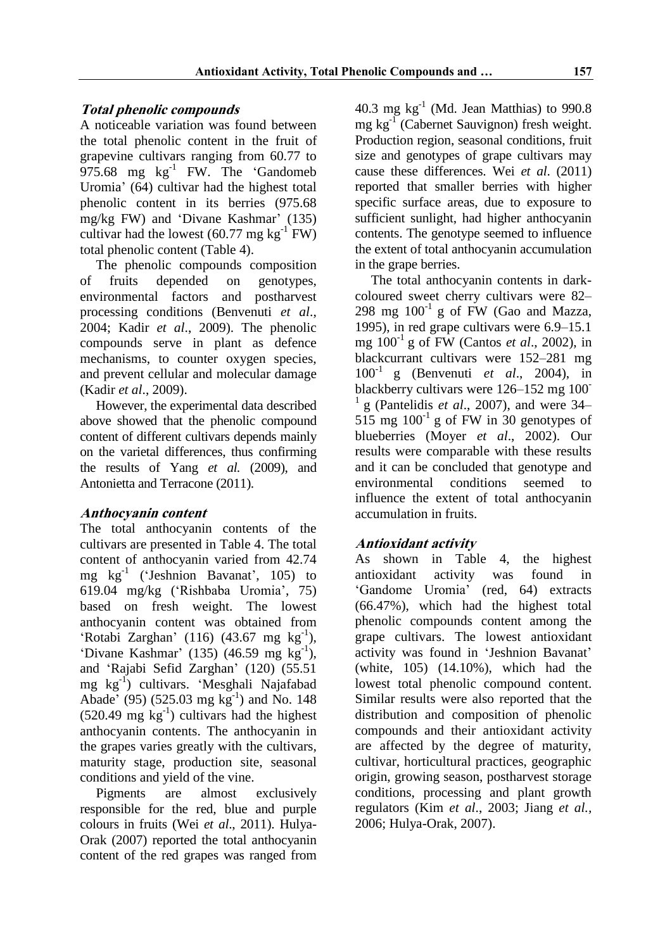## **Total phenolic compounds**

A noticeable variation was found between the total phenolic content in the fruit of grapevine cultivars ranging from 60.77 to  $975.68$  mg  $\text{kg}^{-1}$  FW. The 'Gandomeb Uromia' (64) cultivar had the highest total phenolic content in its berries (975.68 mg/kg FW) and 'Divane Kashmar' (135) cultivar had the lowest  $(60.77 \text{ mg kg}^{-1} \text{ FW})$ total phenolic content (Table 4).

The phenolic compounds composition of fruits depended on genotypes, environmental factors and postharvest processing conditions (Benvenuti *et al*., 2004; Kadir *et al*., 2009). The phenolic compounds serve in plant as defence mechanisms, to counter oxygen species, and prevent cellular and molecular damage (Kadir *et al*., 2009).

However, the experimental data described above showed that the phenolic compound content of different cultivars depends mainly on the varietal differences, thus confirming the results of Yang *et al.* (2009), and Antonietta and Terracone (2011).

## **Anthocyanin content**

The total anthocyanin contents of the cultivars are presented in Table 4. The total content of anthocyanin varied from 42.74 mg kg-1 ('Jeshnion Bavanat', 105) to 619.04 mg/kg ('Rishbaba Uromia', 75) based on fresh weight. The lowest anthocyanin content was obtained from 'Rotabi Zarghan' (116) (43.67 mg  $kg^{-1}$ ), 'Divane Kashmar' (135) (46.59 mg  $kg^{-1}$ ), and 'Rajabi Sefid Zarghan' (120) (55.51 mg kg-1 ) cultivars. 'Mesghali Najafabad Abade' (95) (525.03 mg  $kg^{-1}$ ) and No. 148  $(520.49 \text{ mg kg}^{-1})$  cultivars had the highest anthocyanin contents. The anthocyanin in the grapes varies greatly with the cultivars, maturity stage, production site, seasonal conditions and yield of the vine.

Pigments are almost exclusively responsible for the red, blue and purple colours in fruits (Wei *et al*., 2011). Hulya-Orak (2007) reported the total anthocyanin content of the red grapes was ranged from

40.3 mg  $kg^{-1}$  (Md. Jean Matthias) to 990.8 mg kg-1 (Cabernet Sauvignon) fresh weight. Production region, seasonal conditions, fruit size and genotypes of grape cultivars may cause these differences. Wei *et al*. (2011) reported that smaller berries with higher specific surface areas, due to exposure to sufficient sunlight, had higher anthocyanin contents. The genotype seemed to influence the extent of total anthocyanin accumulation in the grape berries.

The total anthocyanin contents in darkcoloured sweet cherry cultivars were 82– 298 mg  $100^{-1}$  g of FW (Gao and Mazza, 1995), in red grape cultivars were 6.9–15.1 mg 100-1 g of FW (Cantos *et al*., 2002), in blackcurrant cultivars were 152–281 mg 100-1 g (Benvenuti *et al*., 2004), in blackberry cultivars were 126–152 mg 100- <sup>1</sup>g (Pantelidis *et al*., 2007), and were 34– 515 mg  $100^{-1}$  g of FW in 30 genotypes of blueberries (Moyer *et al*., 2002). Our results were comparable with these results and it can be concluded that genotype and environmental conditions seemed to influence the extent of total anthocyanin accumulation in fruits.

## **Antioxidant activity**

As shown in Table 4, the highest antioxidant activity was found in 'Gandome Uromia' (red, 64) extracts (66.47%), which had the highest total phenolic compounds content among the grape cultivars. The lowest antioxidant activity was found in 'Jeshnion Bavanat' (white, 105) (14.10%), which had the lowest total phenolic compound content. Similar results were also reported that the distribution and composition of phenolic compounds and their antioxidant activity are affected by the degree of maturity, cultivar, horticultural practices, geographic origin, growing season, postharvest storage conditions, processing and plant growth regulators (Kim *et al*., 2003; Jiang *et al.,* 2006; Hulya-Orak, 2007).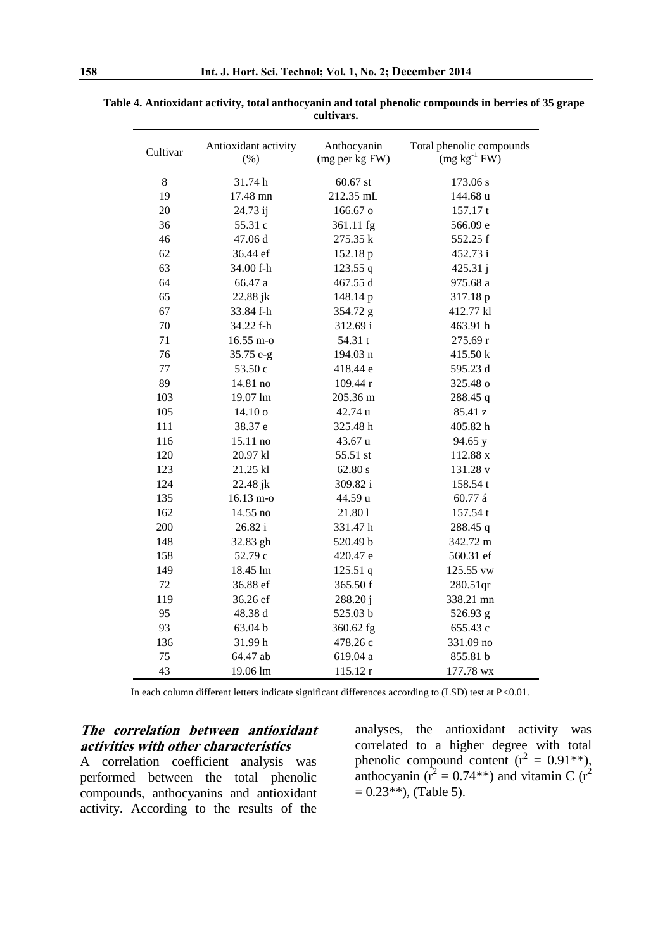| Cultivar | Antioxidant activity<br>(% ) | Anthocyanin<br>(mg per kg FW) | Total phenolic compounds<br>$(mg kg-1 FW)$ |
|----------|------------------------------|-------------------------------|--------------------------------------------|
| 8        | 31.74h                       | $60.67$ st                    | 173.06 s                                   |
| 19       | 17.48 mn                     | 212.35 mL                     | 144.68 u                                   |
| 20       | 24.73 ij                     | 166.67 o                      | 157.17 t                                   |
| 36       | 55.31 c                      | 361.11 fg                     | 566.09 e                                   |
| 46       | 47.06 d                      | 275.35 k                      | 552.25 f                                   |
| 62       | 36.44 ef                     | 152.18 p                      | 452.73 i                                   |
| 63       | 34.00 f-h                    | 123.55q                       | 425.31 j                                   |
| 64       | 66.47 a                      | 467.55 d                      | 975.68 a                                   |
| 65       | 22.88 jk                     | 148.14 p                      | 317.18 p                                   |
| 67       | 33.84 f-h                    | 354.72 g                      | 412.77 kl                                  |
| 70       | 34.22 f-h                    | 312.69 i                      | 463.91 h                                   |
| 71       | 16.55 m-o                    | 54.31 t                       | 275.69 r                                   |
| 76       | 35.75 e-g                    | 194.03 n                      | 415.50 k                                   |
| 77       | 53.50 c                      | 418.44 e                      | 595.23 d                                   |
| 89       | 14.81 no                     | 109.44 r                      | 325.48 o                                   |
| 103      | 19.07 lm                     | 205.36 m                      | 288.45 q                                   |
| 105      | 14.10 <sub>o</sub>           | 42.74 u                       | 85.41 z                                    |
| 111      | 38.37 e                      | 325.48 h                      | 405.82 h                                   |
| 116      | 15.11 no                     | 43.67 u                       | 94.65 y                                    |
| 120      | 20.97 kl                     | 55.51 st                      | 112.88 x                                   |
| 123      | 21.25 kl                     | 62.80 s                       | 131.28 v                                   |
| 124      | 22.48 jk                     | 309.82 i                      | 158.54 t                                   |
| 135      | 16.13 m-o                    | 44.59 u                       | 60.77 á                                    |
| 162      | 14.55 no                     | 21.801                        | 157.54 t                                   |
| 200      | 26.82i                       | 331.47h                       | 288.45 q                                   |
| 148      | 32.83 gh                     | 520.49 b                      | 342.72 m                                   |
| 158      | 52.79 c                      | 420.47 e                      | 560.31 ef                                  |
| 149      | 18.45 lm                     | 125.51q                       | 125.55 vw                                  |
| 72       | 36.88 ef                     | 365.50 f                      | 280.51qr                                   |
| 119      | 36.26 ef                     | 288.20 j                      | 338.21 mn                                  |
| 95       | 48.38 d                      | 525.03 b                      | 526.93 g                                   |
| 93       | 63.04 b                      | 360.62 fg                     | 655.43 c                                   |
| 136      | 31.99h                       | 478.26 c                      | 331.09 no                                  |
| 75       | 64.47 ab                     | 619.04 a                      | 855.81 b                                   |
| 43       | 19.06 lm                     | 115.12 r                      | 177.78 wx                                  |

| Table 4. Antioxidant activity, total anthocyanin and total phenolic compounds in berries of 35 grape |            |  |  |
|------------------------------------------------------------------------------------------------------|------------|--|--|
|                                                                                                      | cultivars. |  |  |

In each column different letters indicate significant differences according to (LSD) test at P*<*0.01.

### **The correlation between antioxidant activities with other characteristics**

A correlation coefficient analysis was performed between the total phenolic compounds, anthocyanins and antioxidant activity. According to the results of the

analyses, the antioxidant activity was correlated to a higher degree with total phenolic compound content  $(r^2 = 0.91**)$ , anthocyanin ( $\mathbf{r}^2 = 0.74$ \*\*) and vitamin C ( $\mathbf{r}^2$  $= 0.23$ \*\*), (Table 5).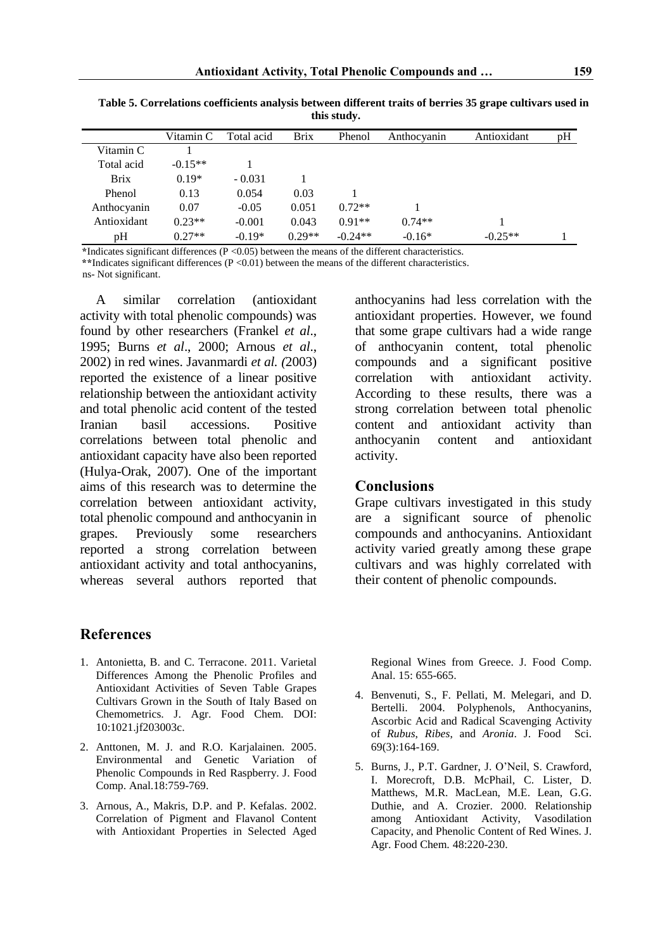|             | Vitamin C | Total acid | <b>Brix</b> | Phenol    | Anthocyanin | Antioxidant | pH |
|-------------|-----------|------------|-------------|-----------|-------------|-------------|----|
| Vitamin C   |           |            |             |           |             |             |    |
| Total acid  | $-0.15**$ |            |             |           |             |             |    |
| <b>Brix</b> | $0.19*$   | $-0.031$   |             |           |             |             |    |
| Phenol      | 0.13      | 0.054      | 0.03        |           |             |             |    |
| Anthocyanin | 0.07      | $-0.05$    | 0.051       | $0.72**$  |             |             |    |
| Antioxidant | $0.23**$  | $-0.001$   | 0.043       | $0.91**$  | $0.74**$    |             |    |
| pH          | $0.27**$  | $-0.19*$   | $0.29**$    | $-0.24**$ | $-0.16*$    | $-0.25**$   |    |

**Table 5. Correlations coefficients analysis between different traits of berries 35 grape cultivars used in this study.**

**\***Indicates significant differences (P <0.05) between the means of the different characteristics.

**\*\***Indicates significant differences (P <0.01) between the means of the different characteristics.

ns- Not significant.

A similar correlation (antioxidant activity with total phenolic compounds) was found by other researchers (Frankel *et al*., 1995; Burns *et al*., 2000; Arnous *et al*., 2002) in red wines. Javanmardi *et al. (*2003) reported the existence of a linear positive relationship between the antioxidant activity and total phenolic acid content of the tested Iranian basil accessions. Positive correlations between total phenolic and antioxidant capacity have also been reported (Hulya-Orak, 2007). One of the important aims of this research was to determine the correlation between antioxidant activity, total phenolic compound and anthocyanin in grapes. Previously some researchers reported a strong correlation between antioxidant activity and total anthocyanins, whereas several authors reported that

#### **References**

- 1. Antonietta, B. and C. Terracone. 2011. Varietal Differences Among the Phenolic Profiles and Antioxidant Activities of Seven Table Grapes Cultivars Grown in the South of Italy Based on Chemometrics. J. Agr. Food Chem. DOI: 10:1021.jf203003c.
- 2. Anttonen, M. J. and R.O. Karjalainen. 2005. Environmental and Genetic Variation of Phenolic Compounds in Red Raspberry. J. Food Comp. Anal.18:759-769.
- 3. Arnous, A., Makris, D.P. and P. Kefalas. 2002. Correlation of Pigment and Flavanol Content with Antioxidant Properties in Selected Aged

anthocyanins had less correlation with the antioxidant properties. However, we found that some grape cultivars had a wide range of anthocyanin content, total phenolic compounds and a significant positive correlation with antioxidant activity. According to these results, there was a strong correlation between total phenolic content and antioxidant activity than anthocyanin content and antioxidant activity.

#### **Conclusions**

Grape cultivars investigated in this study are a significant source of phenolic compounds and anthocyanins. Antioxidant activity varied greatly among these grape cultivars and was highly correlated with their content of phenolic compounds.

Regional Wines from Greece. J. Food Comp. Anal. 15: 655-665.

- 4. Benvenuti, S., F. Pellati, M. Melegari, and D. Bertelli. 2004. Polyphenols, Anthocyanins, Ascorbic Acid and Radical Scavenging Activity of *Rubus*, *Ribes*, and *Aronia*. J. Food Sci. 69(3):164-169.
- 5. Burns, J., P.T. Gardner, J. O'Neil, S. Crawford, I. Morecroft, D.B. McPhail, C. Lister, D. Matthews, M.R. MacLean, M.E. Lean, G.G. Duthie, and A. Crozier. 2000. Relationship among Antioxidant Activity, Vasodilation Capacity, and Phenolic Content of Red Wines. J. Agr. Food Chem. 48:220-230.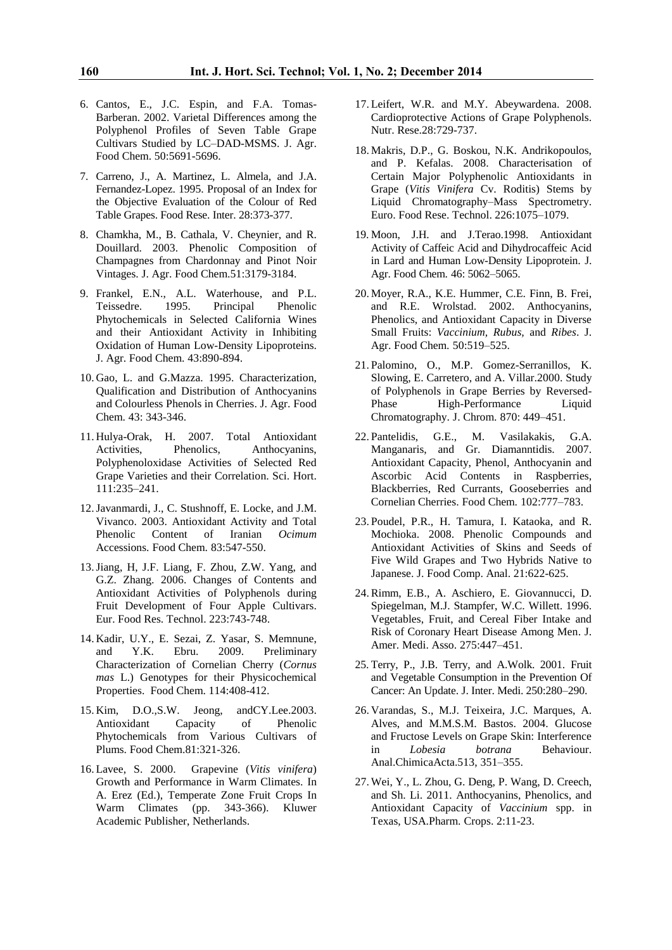- 6. Cantos, E., J.C. Espin, and F.A. Tomas-Barberan. 2002. Varietal Differences among the Polyphenol Profiles of Seven Table Grape Cultivars Studied by LC–DAD-MSMS. J. Agr. Food Chem. 50:5691-5696.
- 7. Carreno, J., A. Martinez, L. Almela, and J.A. Fernandez-Lopez. 1995. Proposal of an Index for the Objective Evaluation of the Colour of Red Table Grapes. Food Rese. Inter. 28:373-377.
- 8. Chamkha, M., B. Cathala, V. Cheynier, and R. Douillard. 2003. Phenolic Composition of Champagnes from Chardonnay and Pinot Noir Vintages. J. Agr. Food Chem.51:3179-3184.
- 9. Frankel, E.N., A.L. Waterhouse, and P.L. Teissedre. 1995. Principal Phenolic Phytochemicals in Selected California Wines and their Antioxidant Activity in Inhibiting Oxidation of Human Low-Density Lipoproteins. J. Agr. Food Chem. 43:890-894.
- 10. Gao, L. and G.Mazza. 1995. Characterization, Qualification and Distribution of Anthocyanins and Colourless Phenols in Cherries. J. Agr. Food Chem. 43: 343-346.
- 11. Hulya-Orak, H. 2007. Total Antioxidant Activities, Phenolics, Anthocyanins, Polyphenoloxidase Activities of Selected Red Grape Varieties and their Correlation. Sci. Hort. 111:235–241.
- 12.Javanmardi, J., C. Stushnoff, E. Locke, and J.M. Vivanco. 2003. Antioxidant Activity and Total Phenolic Content of Iranian *Ocimum* Accessions. Food Chem. 83:547-550.
- 13.Jiang, H, J.F. Liang, F. Zhou, Z.W. Yang, and G.Z. Zhang. 2006. Changes of Contents and Antioxidant Activities of Polyphenols during Fruit Development of Four Apple Cultivars. Eur. Food Res. Technol. 223:743-748.
- 14. Kadir, U.Y., E. Sezai, Z. Yasar, S. Memnune, and Y.K. Ebru. 2009. Preliminary Characterization of Cornelian Cherry (*Cornus mas* L.) Genotypes for their Physicochemical Properties. Food Chem. 114:408-412.
- 15. Kim, D.O.,S.W. Jeong, andCY.Lee.2003. Antioxidant Capacity of Phenolic Phytochemicals from Various Cultivars of Plums. Food Chem.81:321-326.
- 16. Lavee, S. 2000. Grapevine (*Vitis vinifera*) Growth and Performance in Warm Climates. In A. Erez (Ed.), Temperate Zone Fruit Crops In Warm Climates (pp. 343-366). Kluwer Academic Publisher, Netherlands.
- 17. Leifert, W.R. and M.Y. Abeywardena. 2008. Cardioprotective Actions of Grape Polyphenols. Nutr. Rese.28:729-737.
- 18. Makris, D.P., G. Boskou, N.K. Andrikopoulos, and P. Kefalas. 2008. Characterisation of Certain Major Polyphenolic Antioxidants in Grape (*Vitis Vinifera* Cv. Roditis) Stems by Liquid Chromatography–Mass Spectrometry. Euro. Food Rese. Technol. 226:1075–1079.
- 19. Moon, J.H. and J.Terao.1998. Antioxidant Activity of Caffeic Acid and Dihydrocaffeic Acid in Lard and Human Low-Density Lipoprotein. J. Agr. Food Chem. 46: 5062–5065.
- 20. Moyer, R.A., K.E. Hummer, C.E. Finn, B. Frei, and R.E. Wrolstad. 2002. Anthocyanins, Phenolics, and Antioxidant Capacity in Diverse Small Fruits: *Vaccinium, Rubus,* and *Ribes*. J. Agr. Food Chem. 50:519–525.
- 21. Palomino, O., M.P. Gomez-Serranillos, K. Slowing, E. Carretero, and A. Villar.2000. Study of Polyphenols in Grape Berries by Reversed-Phase High-Performance Liquid Chromatography. J. Chrom. 870: 449–451.
- 22. Pantelidis, G.E., M. Vasilakakis, G.A. Manganaris, and Gr. Diamanntidis. 2007. Antioxidant Capacity, Phenol, Anthocyanin and Ascorbic Acid Contents in Raspberries, Blackberries, Red Currants, Gooseberries and Cornelian Cherries. Food Chem. 102:777–783.
- 23. Poudel, P.R., H. Tamura, I. Kataoka, and R. Mochioka. 2008. Phenolic Compounds and Antioxidant Activities of Skins and Seeds of Five Wild Grapes and Two Hybrids Native to Japanese. J. Food Comp. Anal. 21:622-625.
- 24.Rimm, E.B., A. Aschiero, E. Giovannucci, D. Spiegelman, M.J. Stampfer, W.C. Willett. 1996. Vegetables, Fruit, and Cereal Fiber Intake and Risk of Coronary Heart Disease Among Men. J. Amer. Medi. Asso. 275:447–451.
- 25. Terry, P., J.B. Terry, and A.Wolk. 2001. Fruit and Vegetable Consumption in the Prevention Of Cancer: An Update. J. Inter. Medi. 250:280–290.
- 26. Varandas, S., M.J. Teixeira, J.C. Marques, A. Alves, and M.M.S.M. Bastos. 2004. Glucose and Fructose Levels on Grape Skin: Interference in *Lobesia botrana* Behaviour. Anal.ChimicaActa.513, 351–355.
- 27. Wei, Y., L. Zhou, G. Deng, P. Wang, D. Creech, and Sh. Li. 2011. Anthocyanins, Phenolics, and Antioxidant Capacity of *Vaccinium* spp. in Texas, USA.Pharm. Crops. 2:11-23.